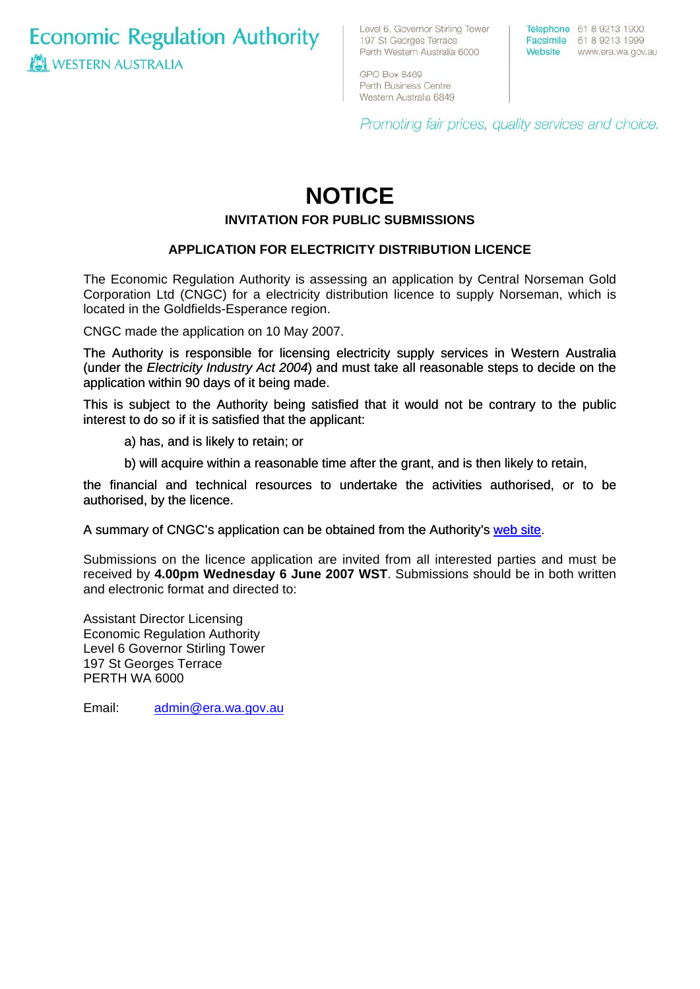**Economic Regulation Authority WESTERN AUSTRALIA** 

Level 6, Governor Stirling Tower 197 St Georges Terrace Perth Western Australia 6000

Telephone 61 8 9213 1900 Facsimile 61 8 9213 1999 Website www.era.wa.gov.au

GPO Box 8469 Perth Business Centre Western Australia 6849

Promoting fair prices, quality services and choice.

# **NOTICE INVITATION FOR PUBLIC SUBMISSIONS**

## **APPLICATION FOR ELECTRICITY DISTRIBUTION LICENCE**

The Economic Regulation Authority is assessing an application by Central Norseman Gold Corporation Ltd (CNGC) for a electricity distribution licence to supply Norseman, which is located in the Goldfields-Esperance region.

CNGC made the application on 10 May 2007.

The Authority is responsible for licensing electricity supply services in Western Australia (under the *Electricity Industry Act 2004*) and must take all reasonable steps to decide on the application within 90 days of it being made.

This is subject to the Authority being satisfied that it would not be contrary to the public interest to do so if it is satisfied that the applicant:

a) has, and is likely to retain; or

b) will acquire within a reasonable time after the grant, and is then likely to retain,

the financial and technical resources to undertake the activities authorised, or to be authorised, by the licence.

[A summary of CNGC's application can be obtained from the Authority's web site](http://www.era.wa.gov.au/cproot/5601/24934/20070516%20-%20Distribution%20licence%20application%20-%20Central%20Norsman%20Gold%20Corp%20Ltd.pdf).

Submissions on the licence application are invited from all interested parties and must be received by **4.00pm Wednesday 6 June 2007 WST**. Submissions should be in both written and electronic format and directed to:

Assistant Director Licensing Economic Regulation Authority Level 6 Governor Stirling Tower 197 St Georges Terrace PERTH WA 6000

Email: [admin@era.wa.gov.au](mailto:admin@era.wa.gov.au)